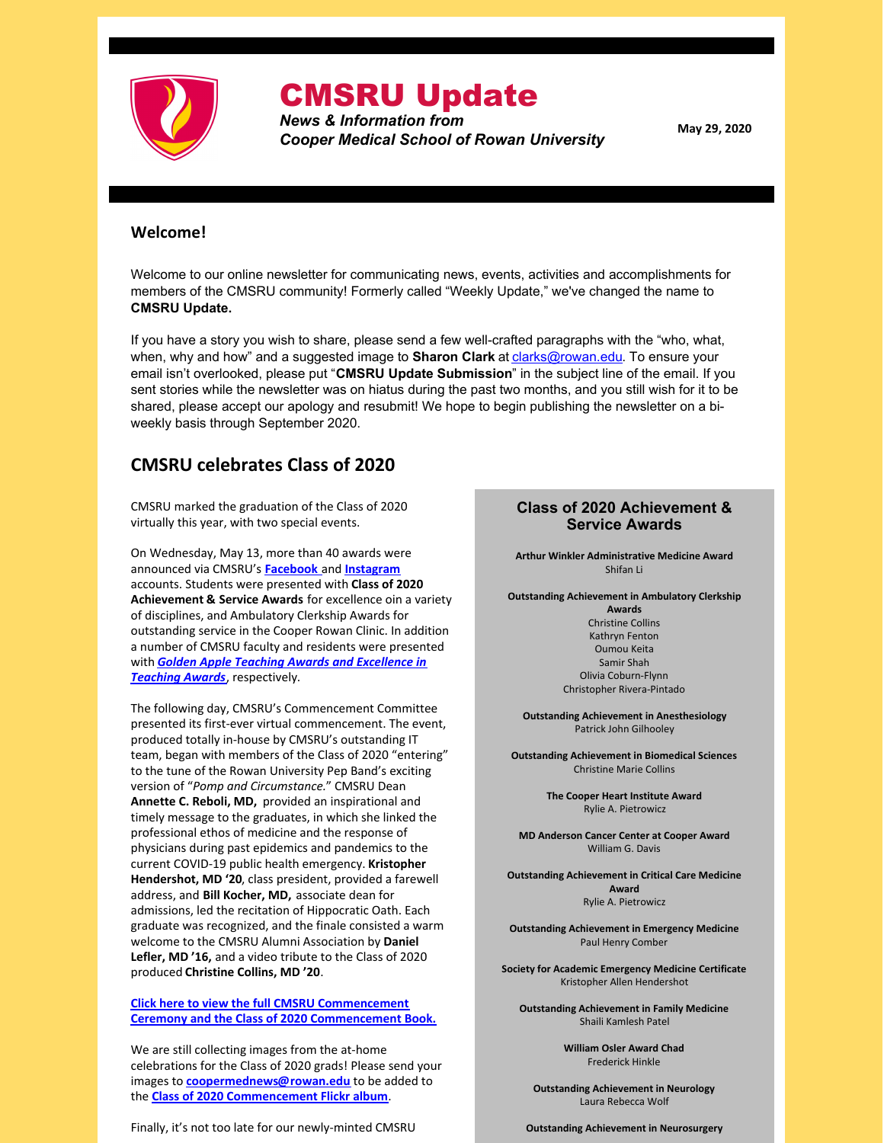

# CMSRU Update

*News & Information from Cooper Medical School of Rowan University*

**May 29, 2020**

### **Welcome!**

Welcome to our online newsletter for communicating news, events, activities and accomplishments for members of the CMSRU community! Formerly called "Weekly Update," we've changed the name to **CMSRU Update.**

If you have a story you wish to share, please send a few well-crafted paragraphs with the "who, what, when, why and how" and a suggested image to **Sharon Clark** at **[clarks@rowan.edu](mailto:clarks@rowan.edu)**. To ensure your email isn't overlooked, please put "**CMSRU Update Submission**" in the subject line of the email. If you sent stories while the newsletter was on hiatus during the past two months, and you still wish for it to be shared, please accept our apology and resubmit! We hope to begin publishing the newsletter on a biweekly basis through September 2020.

# **CMSRU celebrates Class of 2020**

CMSRU marked the graduation of the Class of 2020 virtually this year, with two special events.

On Wednesday, May 13, more than 40 awards were announced via CMSRU's **[Facebook](https://www.facebook.com/coopermedschool/)** and **[Instagram](https://www.instagram.com/cmsru/)** accounts. Students were presented with **Class of 2020 Achievement & Service Awards** for excellence oin a variety of disciplines, and Ambulatory Clerkship Awards for outstanding service in the Cooper Rowan Clinic. In addition a number of CMSRU faculty and residents were presented with *Golden Apple Teaching Awards and [Excellence](https://files.constantcontact.com/a75e3261201/1b95cc4d-336b-439f-9939-c4f7ab148359.pdf) in Teaching Awards*, respectively.

The following day, CMSRU's Commencement Committee presented its first-ever virtual commencement. The event, produced totally in-house by CMSRU's outstanding IT team, began with members of the Class of 2020 "entering" to the tune of the Rowan University Pep Band's exciting version of "*Pomp and Circumstance.*" CMSRU Dean **Annette C. Reboli, MD,** provided an inspirational and timely message to the graduates, in which she linked the professional ethos of medicine and the response of physicians during past epidemics and pandemics to the current COVID-19 public health emergency. **Kristopher Hendershot, MD '20**, class president, provided a farewell address, and **Bill Kocher, MD,** associate dean for admissions, led the recitation of Hippocratic Oath. Each graduate was recognized, and the finale consisted a warm welcome to the CMSRU Alumni Association by **Daniel Lefler, MD '16,** and a video tribute to the Class of 2020 produced **Christine Collins, MD '20**.

**Click here to view the full CMSRU [Commencement](https://sites.rowan.edu/commencement2020/collegepages/cmsru.html) Ceremony and the Class of 2020 Commencement Book.**

We are still collecting images from the at-home celebrations for the Class of 2020 grads! Please send your images to **[coopermednews@rowan.edu](mailto:coopermednews@rowan.edu)** to be added to the **Class of 2020 [Commencement](https://flic.kr/s/aHsmNewHsM) Flickr album**.

Finally, it's not too late for our newly-minted CMSRU

### **Class of 2020 Achievement & Service Awards**

**Arthur Winkler Administrative Medicine Award** Shifan Li

**Outstanding Achievement in Ambulatory Clerkship**

**Awards** Christine Collins Kathryn Fenton Oumou Keita Samir Shah Olivia Coburn-Flynn Christopher Rivera-Pintado

**Outstanding Achievement in Anesthesiology** Patrick John Gilhooley

**Outstanding Achievement in Biomedical Sciences** Christine Marie Collins

> **The Cooper Heart Institute Award** Rylie A. Pietrowicz

**MD Anderson Cancer Center at Cooper Award** William G. Davis

**Outstanding Achievement in Critical Care Medicine Award** Rylie A. Pietrowicz

**Outstanding Achievement in Emergency Medicine** Paul Henry Comber

**Society for Academic Emergency Medicine Certificate** Kristopher Allen Hendershot

**Outstanding Achievement in Family Medicine** Shaili Kamlesh Patel

> **William Osler Award Chad** Frederick Hinkle

**Outstanding Achievement in Neurology** Laura Rebecca Wolf

**Outstanding Achievement in Neurosurgery**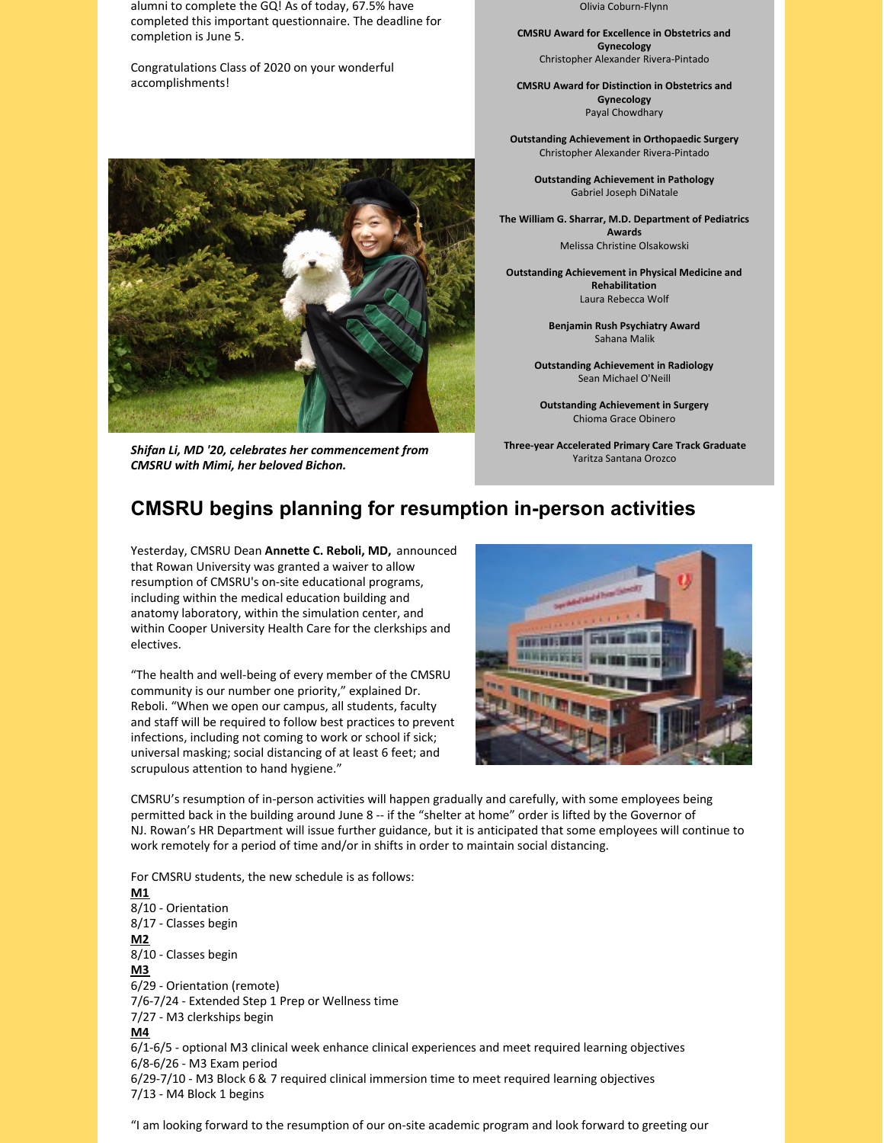alumni to complete the GQ! As of today, 67.5% have completed this important questionnaire. The deadline for completion is June 5.

Congratulations Class of 2020 on your wonderful accomplishments!



*Shifan Li, MD '20, celebrates her commencement from CMSRU with Mimi, her beloved Bichon.*

Olivia Coburn-Flynn

**CMSRU Award for Excellence in Obstetrics and Gynecology** Christopher Alexander Rivera-Pintado

**CMSRU Award for Distinction in Obstetrics and Gynecology** Payal Chowdhary

**Outstanding Achievement in Orthopaedic Surgery** Christopher Alexander Rivera-Pintado

> **Outstanding Achievement in Pathology** Gabriel Joseph DiNatale

**The William G. Sharrar, M.D. Department of Pediatrics Awards** Melissa Christine Olsakowski

**Outstanding Achievement in Physical Medicine and Rehabilitation** Laura Rebecca Wolf

> **Benjamin Rush Psychiatry Award** Sahana Malik

**Outstanding Achievement in Radiology** Sean Michael O'Neill

**Outstanding Achievement in Surgery** Chioma Grace Obinero

**Three-year Accelerated Primary Care Track Graduate** Yaritza Santana Orozco

# **CMSRU begins planning for resumption in-person activities**

Yesterday, CMSRU Dean **Annette C. Reboli, MD,** announced that Rowan University was granted a waiver to allow resumption of CMSRU's on-site educational programs, including within the medical education building and anatomy laboratory, within the simulation center, and within Cooper University Health Care for the clerkships and electives.

"The health and well-being of every member of the CMSRU community is our number one priority," explained Dr. Reboli. "When we open our campus, all students, faculty and staff will be required to follow best practices to prevent infections, including not coming to work or school if sick; universal masking; social distancing of at least 6 feet; and scrupulous attention to hand hygiene."



CMSRU's resumption of in-person activities will happen gradually and carefully, with some employees being permitted back in the building around June 8 -- if the "shelter at home" order is lifted by the Governor of NJ. Rowan's HR Department will issue further guidance, but it is anticipated that some employees will continue to work remotely for a period of time and/or in shifts in order to maintain social distancing.

For CMSRU students, the new schedule is as follows: **M1** 8/10 - Orientation 8/17 - Classes begin **M2** 8/10 - Classes begin **M3** 6/29 - Orientation (remote) 7/6-7/24 - Extended Step 1 Prep or Wellness time 7/27 - M3 clerkships begin **M4** 6/1-6/5 - optional M3 clinical week enhance clinical experiences and meet required learning objectives 6/8-6/26 - M3 Exam period 6/29-7/10 - M3 Block 6 & 7 required clinical immersion time to meet required learning objectives 7/13 - M4 Block 1 begins

"I am looking forward to the resumption of our on-site academic program and look forward to greeting our